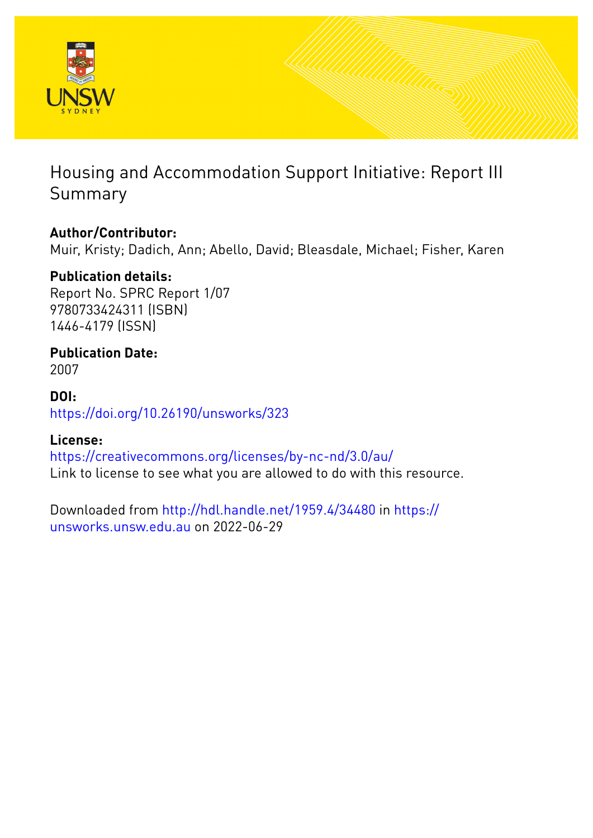

# Housing and Accommodation Support Initiative: Report III Summary

# **Author/Contributor:**

Muir, Kristy; Dadich, Ann; Abello, David; Bleasdale, Michael; Fisher, Karen

# **Publication details:**

Report No. SPRC Report 1/07 9780733424311 (ISBN) 1446-4179 (ISSN)

# **Publication Date:**

2007

## **DOI:** [https://doi.org/10.26190/unsworks/323](http://dx.doi.org/https://doi.org/10.26190/unsworks/323)

# **License:**

<https://creativecommons.org/licenses/by-nc-nd/3.0/au/> Link to license to see what you are allowed to do with this resource.

Downloaded from <http://hdl.handle.net/1959.4/34480> in [https://](https://unsworks.unsw.edu.au) [unsworks.unsw.edu.au](https://unsworks.unsw.edu.au) on 2022-06-29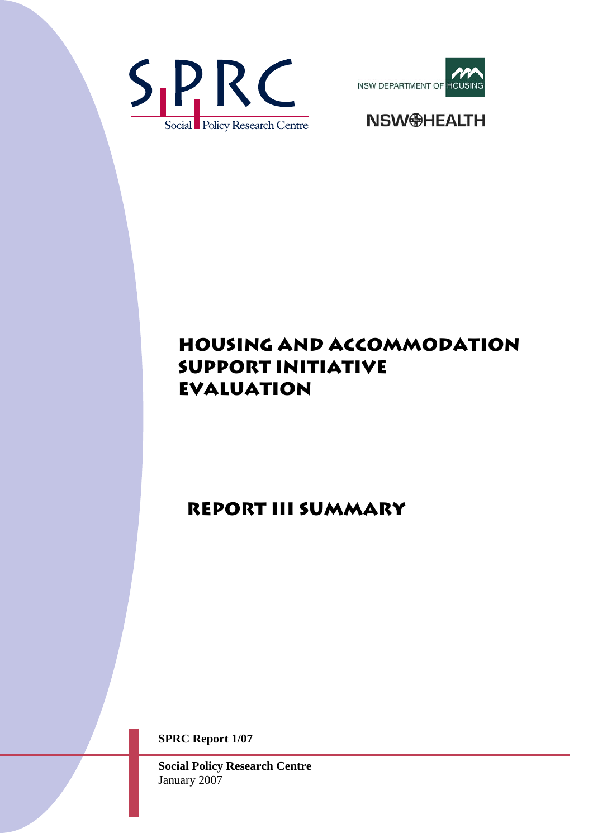





# **HOUSING AND ACCOMMODATION SUPPORT INITIATIVE Evaluation**

# **REPORT III Summary**

**SPRC Report 1/07** 

**Social Policy Research Centre**  January 2007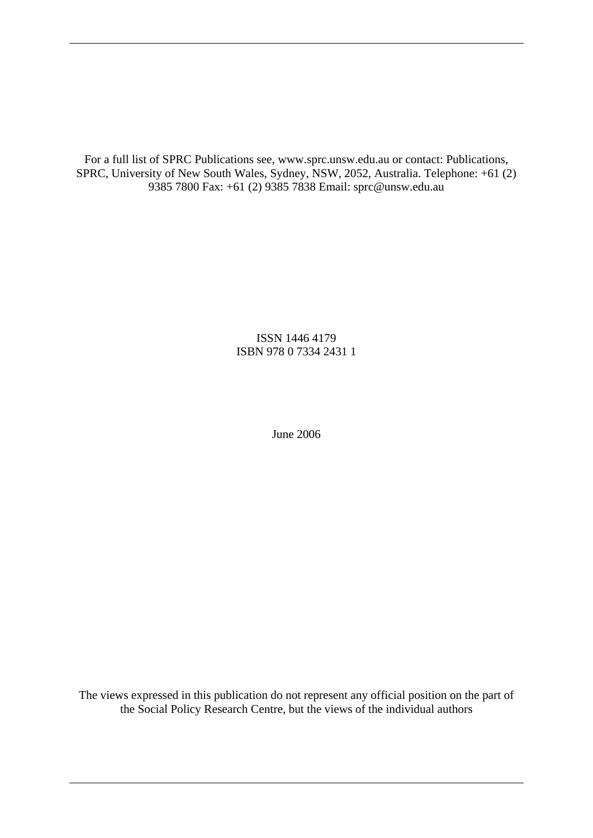For a full list of SPRC Publications see, www.sprc.unsw.edu.au or contact: Publications, SPRC, University of New South Wales, Sydney, NSW, 2052, Australia. Telephone: +61 (2) 9385 7800 Fax: +61 (2) 9385 7838 Email: sprc@unsw.edu.au

> ISSN 1446 4179 ISBN 978 0 7334 2431 1

> > June 2006

The views expressed in this publication do not represent any official position on the part of the Social Policy Research Centre, but the views of the individual authors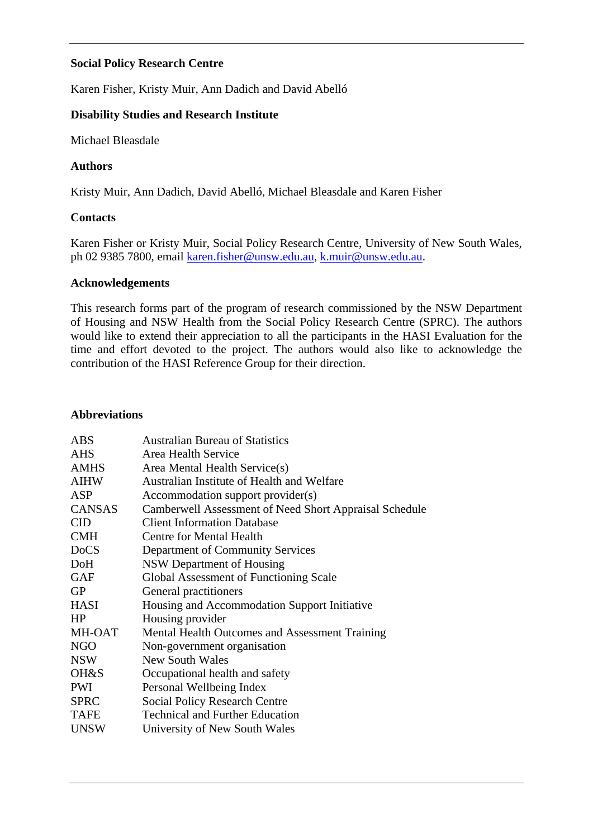### **Social Policy Research Centre**

Karen Fisher, Kristy Muir, Ann Dadich and David Abelló

### **Disability Studies and Research Institute**

Michael Bleasdale

#### **Authors**

Kristy Muir, Ann Dadich, David Abelló, Michael Bleasdale and Karen Fisher

#### **Contacts**

Karen Fisher or Kristy Muir, Social Policy Research Centre, University of New South Wales, ph 02 9385 7800, email [karen.fisher@unsw.edu.au,](mailto:karen.fisher@unsw.edu.au) [k.muir@unsw.edu.au](mailto:k.muir@unsw.edu.au).

#### **Acknowledgements**

This research forms part of the program of research commissioned by the NSW Department of Housing and NSW Health from the Social Policy Research Centre (SPRC). The authors would like to extend their appreciation to all the participants in the HASI Evaluation for the time and effort devoted to the project. The authors would also like to acknowledge the contribution of the HASI Reference Group for their direction.

#### **Abbreviations**

| <b>ABS</b>    | <b>Australian Bureau of Statistics</b>                 |
|---------------|--------------------------------------------------------|
| <b>AHS</b>    | Area Health Service                                    |
| <b>AMHS</b>   | Area Mental Health Service(s)                          |
| <b>AIHW</b>   | Australian Institute of Health and Welfare             |
| ASP           | Accommodation support provider(s)                      |
| <b>CANSAS</b> | Camberwell Assessment of Need Short Appraisal Schedule |
| <b>CID</b>    | <b>Client Information Database</b>                     |
| <b>CMH</b>    | <b>Centre for Mental Health</b>                        |
| <b>DoCS</b>   | Department of Community Services                       |
| DoH           | NSW Department of Housing                              |
| <b>GAF</b>    | Global Assessment of Functioning Scale                 |
| <b>GP</b>     | General practitioners                                  |
| <b>HASI</b>   | Housing and Accommodation Support Initiative           |
| HP            | Housing provider                                       |
| MH-OAT        | Mental Health Outcomes and Assessment Training         |
| <b>NGO</b>    | Non-government organisation                            |
| <b>NSW</b>    | <b>New South Wales</b>                                 |
| OH&S          | Occupational health and safety                         |
| PWI           | Personal Wellbeing Index                               |
| <b>SPRC</b>   | <b>Social Policy Research Centre</b>                   |
| <b>TAFE</b>   | <b>Technical and Further Education</b>                 |
| <b>UNSW</b>   | University of New South Wales                          |
|               |                                                        |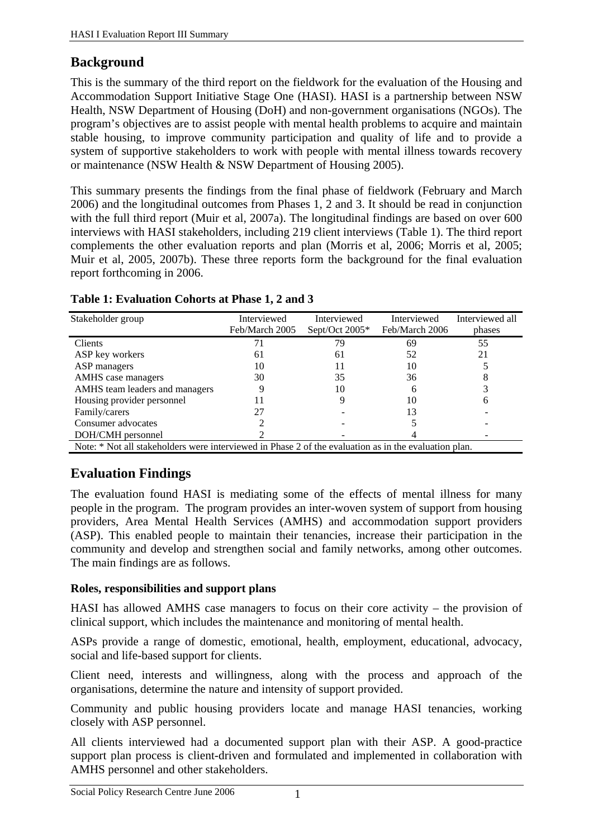## **Background**

This is the summary of the third report on the fieldwork for the evaluation of the Housing and Accommodation Support Initiative Stage One (HASI). HASI is a partnership between NSW Health, NSW Department of Housing (DoH) and non-government organisations (NGOs). The program's objectives are to assist people with mental health problems to acquire and maintain stable housing, to improve community participation and quality of life and to provide a system of supportive stakeholders to work with people with mental illness towards recovery or maintenance (NSW Health & NSW Department of Housing 2005).

This summary presents the findings from the final phase of fieldwork (February and March 2006) and the longitudinal outcomes from Phases 1, 2 and 3. It should be read in conjunction with the full third report (Muir et al, 2007a). The longitudinal findings are based on over 600 interviews with HASI stakeholders, including 219 client interviews (Table 1). The third report complements the other evaluation reports and plan (Morris et al, 2006; Morris et al, 2005; Muir et al, 2005, 2007b). These three reports form the background for the final evaluation report forthcoming in 2006.

| Stakeholder group                                                                                     | Interviewed    | Interviewed    | Interviewed    | Interviewed all |  |  |
|-------------------------------------------------------------------------------------------------------|----------------|----------------|----------------|-----------------|--|--|
|                                                                                                       | Feb/March 2005 | Sept/Oct 2005* | Feb/March 2006 | phases          |  |  |
| <b>Clients</b>                                                                                        |                | 79             | 69             | 55              |  |  |
| ASP key workers                                                                                       | 61             | 61             | 52             | 21              |  |  |
| ASP managers                                                                                          | 10             |                | 10             |                 |  |  |
| AMHS case managers                                                                                    | 30             | 35             | 36             |                 |  |  |
| AMHS team leaders and managers                                                                        |                | 10             |                |                 |  |  |
| Housing provider personnel                                                                            |                |                | 10             |                 |  |  |
| Family/carers                                                                                         | 27             |                | 13             |                 |  |  |
| Consumer advocates                                                                                    |                |                |                |                 |  |  |
| DOH/CMH personnel                                                                                     |                |                |                |                 |  |  |
| Note: * Not all stakeholders were interviewed in Phase 2 of the evaluation as in the evaluation plan. |                |                |                |                 |  |  |

### **Table 1: Evaluation Cohorts at Phase 1, 2 and 3**

# **Evaluation Findings**

The evaluation found HASI is mediating some of the effects of mental illness for many people in the program. The program provides an inter-woven system of support from housing providers, Area Mental Health Services (AMHS) and accommodation support providers (ASP). This enabled people to maintain their tenancies, increase their participation in the community and develop and strengthen social and family networks, among other outcomes. The main findings are as follows.

## **Roles, responsibilities and support plans**

HASI has allowed AMHS case managers to focus on their core activity – the provision of clinical support, which includes the maintenance and monitoring of mental health.

ASPs provide a range of domestic, emotional, health, employment, educational, advocacy, social and life-based support for clients.

Client need, interests and willingness, along with the process and approach of the organisations, determine the nature and intensity of support provided.

Community and public housing providers locate and manage HASI tenancies, working closely with ASP personnel.

All clients interviewed had a documented support plan with their ASP. A good-practice support plan process is client-driven and formulated and implemented in collaboration with AMHS personnel and other stakeholders.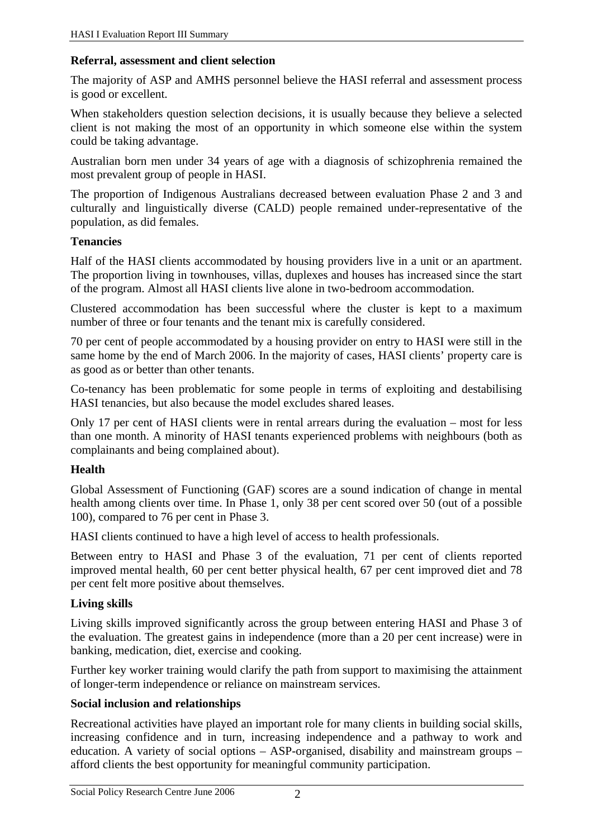### **Referral, assessment and client selection**

The majority of ASP and AMHS personnel believe the HASI referral and assessment process is good or excellent.

When stakeholders question selection decisions, it is usually because they believe a selected client is not making the most of an opportunity in which someone else within the system could be taking advantage.

Australian born men under 34 years of age with a diagnosis of schizophrenia remained the most prevalent group of people in HASI.

The proportion of Indigenous Australians decreased between evaluation Phase 2 and 3 and culturally and linguistically diverse (CALD) people remained under-representative of the population, as did females.

### **Tenancies**

Half of the HASI clients accommodated by housing providers live in a unit or an apartment. The proportion living in townhouses, villas, duplexes and houses has increased since the start of the program. Almost all HASI clients live alone in two-bedroom accommodation.

Clustered accommodation has been successful where the cluster is kept to a maximum number of three or four tenants and the tenant mix is carefully considered.

70 per cent of people accommodated by a housing provider on entry to HASI were still in the same home by the end of March 2006. In the majority of cases, HASI clients' property care is as good as or better than other tenants.

Co-tenancy has been problematic for some people in terms of exploiting and destabilising HASI tenancies, but also because the model excludes shared leases.

Only 17 per cent of HASI clients were in rental arrears during the evaluation – most for less than one month. A minority of HASI tenants experienced problems with neighbours (both as complainants and being complained about).

## **Health**

Global Assessment of Functioning (GAF) scores are a sound indication of change in mental health among clients over time. In Phase 1, only 38 per cent scored over 50 (out of a possible 100), compared to 76 per cent in Phase 3.

HASI clients continued to have a high level of access to health professionals.

Between entry to HASI and Phase 3 of the evaluation, 71 per cent of clients reported improved mental health, 60 per cent better physical health, 67 per cent improved diet and 78 per cent felt more positive about themselves.

## **Living skills**

Living skills improved significantly across the group between entering HASI and Phase 3 of the evaluation. The greatest gains in independence (more than a 20 per cent increase) were in banking, medication, diet, exercise and cooking.

Further key worker training would clarify the path from support to maximising the attainment of longer-term independence or reliance on mainstream services.

## **Social inclusion and relationships**

Recreational activities have played an important role for many clients in building social skills, increasing confidence and in turn, increasing independence and a pathway to work and education. A variety of social options – ASP-organised, disability and mainstream groups – afford clients the best opportunity for meaningful community participation.